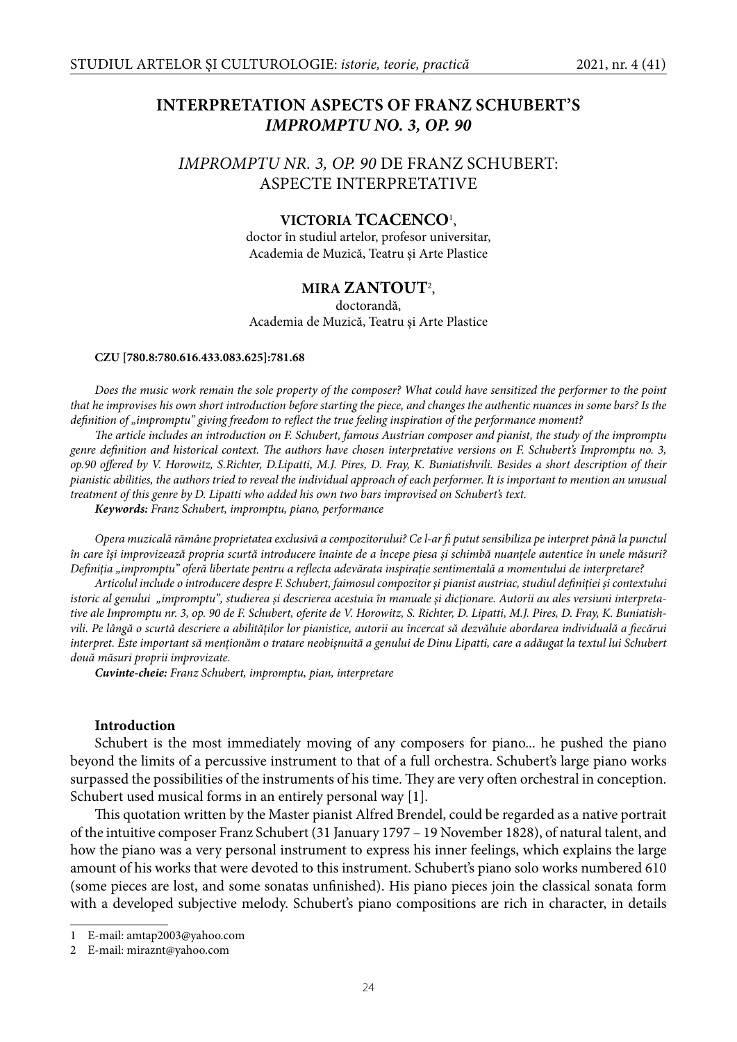# **INTERPRETATION ASPECTS OF FRANZ SCHUBERT'S IMPROMPTU NO. 3, OP. 90**

## *IMPROMPTU NR. 3, OP. 90* DE FRANZ SCHUBERT: ASPECTE INTERPRETATIVE

## **VICTORIA TCACENCO**<sup>1</sup> ,

doctor în studiul artelor, profesor universitar, Academia de Muzică, Teatru şi Arte Plastice

## **MIRA ZANTOUT**<sup>2</sup> ,

doctorandă, Academia de Muzică, Teatru şi Arte Plastice

#### **CZU [780.8:780.616.433.083.625]:781.68**

*Does the music work remain the sole property of the composer? What could have sensitized the performer to the point that he improvises his own short introduction before starting the piece, and changes the authentic nuances in some bars? Is the definition of "impromptu" giving freedom to reflect the true feeling inspiration of the performance moment?* 

*The article includes an introduction on F. Schubert, famous Austrian composer and pianist, the study of the impromptu genre definition and historical context. The authors have chosen interpretative versions on F. Schubert's Impromptu no. 3, op.90 off ered by V. Horowitz, S.Richter, D.Lipatti, M.J. Pires, D. Fray, K. Buniatishvili. Besides a short description of their pianistic abilities, the authors tried to reveal the individual approach of each performer. It is important to mention an unusual treatment of this genre by D. Lipatti who added his own two bars improvised on Schubert's text.* 

**Кeywords:** *Franz Schubert, impromptu, piano, performance*

*Opera muzicală rămâne proprietatea exclusivă a compozitorului? Ce l-ar fi putut sensibiliza pe interpret până la punctul în care îşi improvizează propria scurtă introducere înainte de a începe piesa şi schimbă nuanţele autentice în unele măsuri?*  Definiția "impromptu" oferă libertate pentru a reflecta adevărata inspirație sentimentală a momentului de interpretare?

*Articolul include o introducere despre F. Schubert, faimosul compozitor şi pianist austriac, studiul defi niţiei şi contextului istoric al genului "impromptu", studierea şi descrierea acestuia în manuale şi dicţionare. Autorii au ales versiuni interpretative ale Impromptu nr. 3, op. 90 de F. Schubert, oferite de V. Horowitz, S. Richter, D. Lipatti, M.J. Pires, D. Fray, K. Buniatish*vili. Pe lângă o scurtă descriere a abilităților lor pianistice, autorii au încercat să dezvăluie abordarea individuală a fiecărui *interpret. Este important să menţionăm o tratare neobişnuită a genului de Dinu Lipatti, care a adăugat la textul lui Schubert două măsuri proprii improvizate.*

**Cuvinte-cheie:** *Franz Schubert, impromptu, pian, interpretare*

#### **Introduction**

Schubert is the most immediately moving of any composers for piano... he pushed the piano beyond the limits of a percussive instrument to that of a full orchestra. Schubert's large piano works surpassed the possibilities of the instruments of his time. They are very often orchestral in conception. Schubert used musical forms in an entirely personal way [1].

This quotation written by the Master pianist Alfred Brendel, could be regarded as a native portrait of the intuitive composer Franz Schubert (31 January 1797 – 19 November 1828), of natural talent, and how the piano was a very personal instrument to express his inner feelings, which explains the large amount of his works that were devoted to this instrument. Schubert's piano solo works numbered 610 (some pieces are lost, and some sonatas unfinished). His piano pieces join the classical sonata form with a developed subjective melody. Schubert's piano compositions are rich in character, in details

<sup>1</sup> E-mail: amtap2003@yahoo.com

<sup>2</sup> E-mail: miraznt@yahoo.com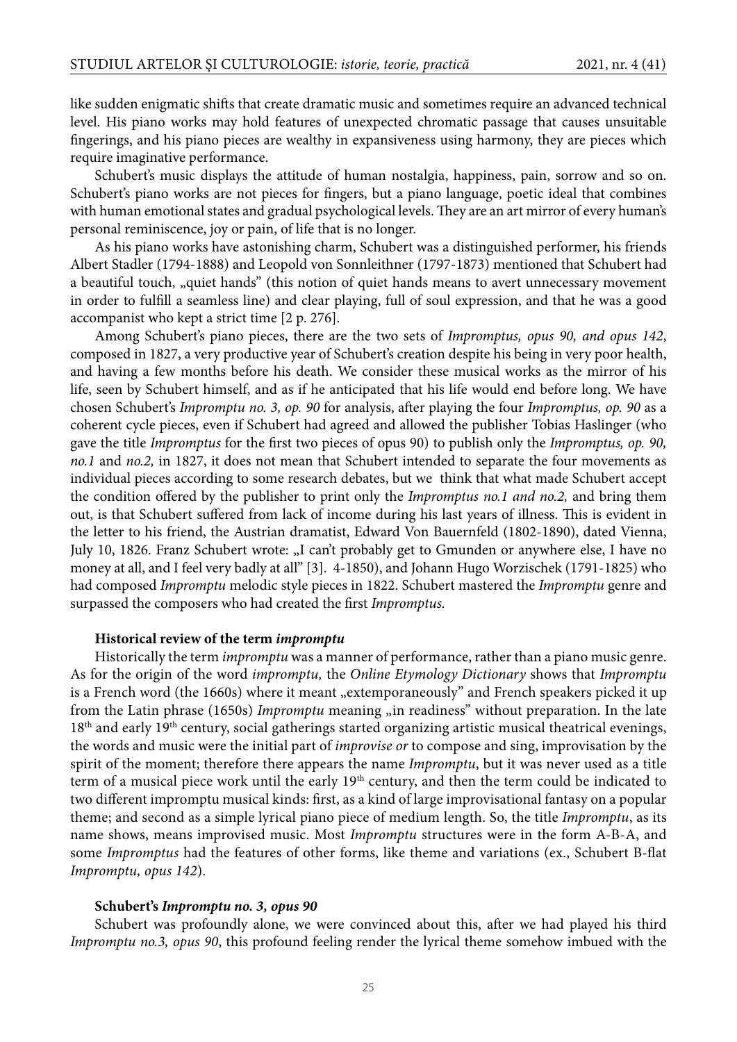like sudden enigmatic shifts that create dramatic music and sometimes require an advanced technical level. His piano works may hold features of unexpected chromatic passage that causes unsuitable fingerings, and his piano pieces are wealthy in expansiveness using harmony, they are pieces which require imaginative performance.

Schubert's music displays the attitude of human nostalgia, happiness, pain, sorrow and so on. Schubert's piano works are not pieces for fingers, but a piano language, poetic ideal that combines with human emotional states and gradual psychological levels. They are an art mirror of every human's personal reminiscence, joy or pain, of life that is no longer.

As his piano works have astonishing charm, Schubert was a distinguished performer, his friends Albert Stadler (1794-1888) and Leopold von Sonnleithner (1797-1873) mentioned that Schubert had a beautiful touch, "quiet hands" (this notion of quiet hands means to avert unnecessary movement in order to fulfill a seamless line) and clear playing, full of soul expression, and that he was a good accompanist who kept a strict time [2 p. 276].

Among Schubert's piano pieces, there are the two sets of *Impromptus, opus 90, and opus 142*, composed in 1827, a very productive year of Schubert's creation despite his being in very poor health, and having a few months before his death. We consider these musical works as the mirror of his life, seen by Schubert himself, and as if he anticipated that his life would end before long. We have chosen Schubert's *Impromptu no.* 3, op. 90 for analysis, after playing the four *Impromptus*, op. 90 as a coherent cycle pieces, even if Schubert had agreed and allowed the publisher Tobias Haslinger (who gave the title *Impromptus* for the first two pieces of opus 90) to publish only the *Impromptus, op.* 90, *no.1* and *no.2,* in 1827, it does not mean that Schubert intended to separate the four movements as individual pieces according to some research debates, but we think that what made Schubert accept the condition offered by the publisher to print only the *Impromptus no.1 and no.2*, and bring them out, is that Schubert suffered from lack of income during his last years of illness. This is evident in the letter to his friend, the Austrian dramatist, Edward Von Bauernfeld (1802-1890), dated Vienna, July 10, 1826. Franz Schubert wrote: "I can't probably get to Gmunden or anywhere else, I have no money at all, and I feel very badly at all" [3]. 4-1850), and Johann Hugo Worzischek (1791-1825) who had composed *Impromptu* melodic style pieces in 1822. Schubert mastered the *Impromptu* genre and surpassed the composers who had created the first *Impromptus*.

#### **Historical review of the term impromptu**

Historically the term *impromptu* was a manner of performance, rather than a piano music genre. As for the origin of the word *impromptu,* the *Online Etymology Dictionary* shows that *Impromptu* is a French word (the 1660s) where it meant "extemporaneously" and French speakers picked it up from the Latin phrase (1650s) *Impromptu* meaning <sub>"in readiness" without preparation. In the late</sub> 18<sup>th</sup> and early 19<sup>th</sup> century, social gatherings started organizing artistic musical theatrical evenings, the words and music were the initial part of *improvise or* to compose and sing, improvisation by the spirit of the moment; therefore there appears the name *Impromptu*, but it was never used as a title term of a musical piece work until the early 19<sup>th</sup> century, and then the term could be indicated to two different impromptu musical kinds: first, as a kind of large improvisational fantasy on a popular theme; and second as a simple lyrical piano piece of medium length. So, the title *Impromptu*, as its name shows, means improvised music. Most *Impromptu* structures were in the form A-B-A, and some *Impromptus* had the features of other forms, like theme and variations (ex., Schubert B-flat *Impromptu, opus 142*).

#### **Schubert's Impromptu no. 3, opus 90**

Schubert was profoundly alone, we were convinced about this, after we had played his third *Impromptu no.3, opus 90*, this profound feeling render the lyrical theme somehow imbued with the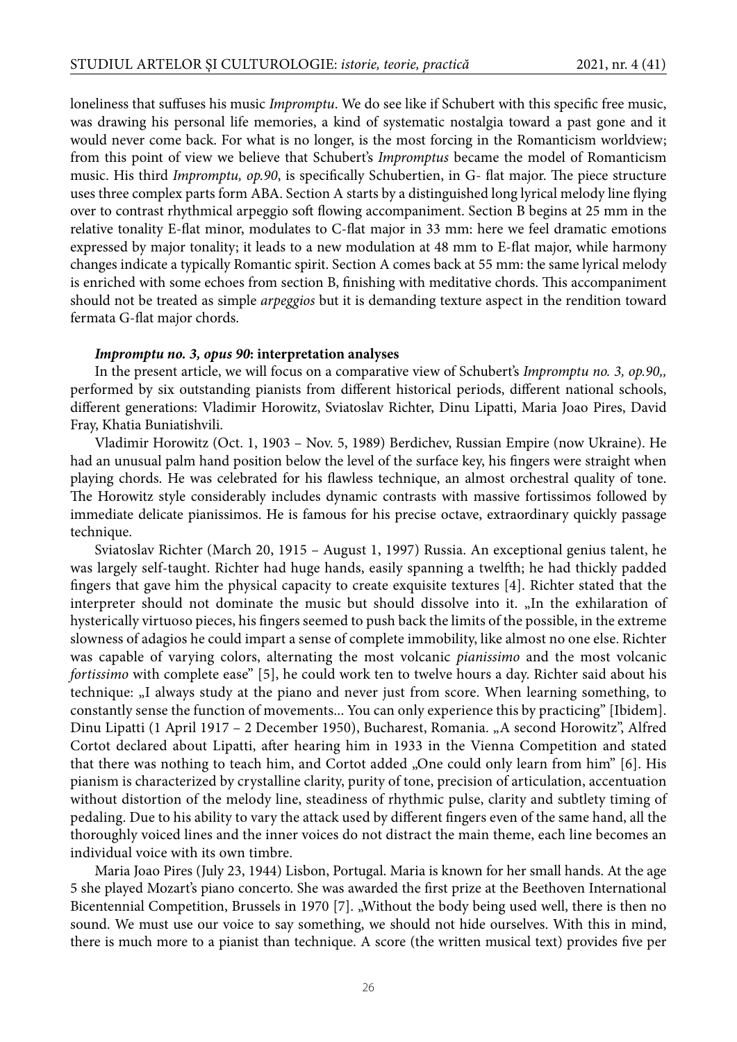loneliness that suffuses his music *Impromptu*. We do see like if Schubert with this specific free music, was drawing his personal life memories, a kind of systematic nostalgia toward a past gone and it would never come back. For what is no longer, is the most forcing in the Romanticism worldview; from this point of view we believe that Schubert's *Impromptus* became the model of Romanticism music. His third *Impromptu, op.90*, is specifically Schubertien, in G- flat major. The piece structure uses three complex parts form ABA. Section A starts by a distinguished long lyrical melody line flying over to contrast rhythmical arpeggio soft flowing accompaniment. Section B begins at 25 mm in the relative tonality E-flat minor, modulates to C-flat major in 33 mm: here we feel dramatic emotions expressed by major tonality; it leads to a new modulation at 48 mm to E-flat major, while harmony changes indicate a typically Romantic spirit. Section A comes back at 55 mm: the same lyrical melody is enriched with some echoes from section B, finishing with meditative chords. This accompaniment should not be treated as simple *arpeggios* but it is demanding texture aspect in the rendition toward fermata G-flat major chords.

#### **Impromptu no. 3, opus 90: interpretation analyses**

In the present article, we will focus on a comparative view of Schubert's *Impromptu no. 3, op.90,,* performed by six outstanding pianists from different historical periods, different national schools, different generations: Vladimir Horowitz, Sviatoslav Richter, Dinu Lipatti, Maria Joao Pires, David Fray, Khatia Buniatishvili.

Vladimir Horowitz (Oct. 1, 1903 – Nov. 5, 1989) Berdichev, Russian Empire (now Ukraine). He had an unusual palm hand position below the level of the surface key, his fingers were straight when playing chords. He was celebrated for his flawless technique, an almost orchestral quality of tone. The Horowitz style considerably includes dynamic contrasts with massive fortissimos followed by immediate delicate pianissimos. He is famous for his precise octave, extraordinary quickly passage technique.

Sviatoslav Richter (March 20, 1915 – August 1, 1997) Russia. An exceptional genius talent, he was largely self-taught. Richter had huge hands, easily spanning a twelfth; he had thickly padded fingers that gave him the physical capacity to create exquisite textures [4]. Richter stated that the interpreter should not dominate the music but should dissolve into it. "In the exhilaration of hysterically virtuoso pieces, his fingers seemed to push back the limits of the possible, in the extreme slowness of adagios he could impart a sense of complete immobility, like almost no one else. Richter was capable of varying colors, alternating the most volcanic *pianissimo* and the most volcanic *fortissimo* with complete ease" [5], he could work ten to twelve hours a day. Richter said about his technique: "I always study at the piano and never just from score. When learning something, to constantly sense the function of movements... You can only experience this by practicing" [Ibidem]. Dinu Lipatti (1 April 1917 – 2 December 1950), Bucharest, Romania. "A second Horowitz", Alfred Cortot declared about Lipatti, after hearing him in 1933 in the Vienna Competition and stated that there was nothing to teach him, and Cortot added "One could only learn from him" [6]. His pianism is characterized by crystalline clarity, purity of tone, precision of articulation, accentuation without distortion of the melody line, steadiness of rhythmic pulse, clarity and subtlety timing of pedaling. Due to his ability to vary the attack used by different fingers even of the same hand, all the thoroughly voiced lines and the inner voices do not distract the main theme, each line becomes an individual voice with its own timbre.

Maria Joao Pires (July 23, 1944) Lisbon, Portugal. Maria is known for her small hands. At the age 5 she played Mozart's piano concerto. She was awarded the first prize at the Beethoven International Bicentennial Competition, Brussels in 1970 [7]. "Without the body being used well, there is then no sound. We must use our voice to say something, we should not hide ourselves. With this in mind, there is much more to a pianist than technique. A score (the written musical text) provides five per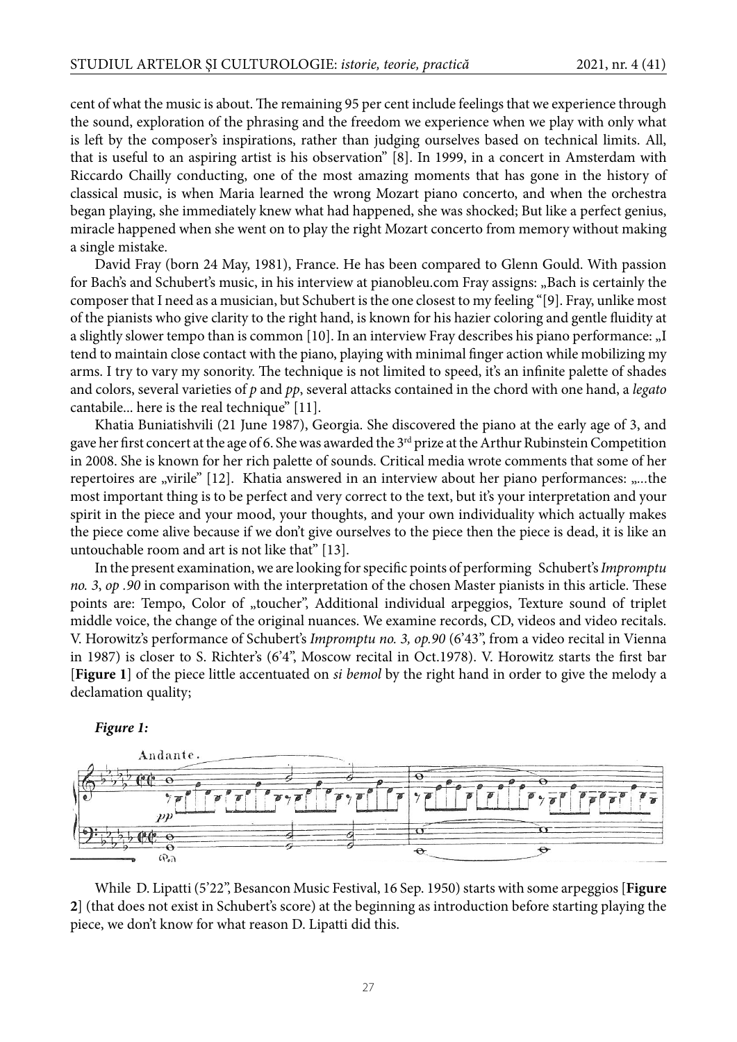cent of what the music is about. The remaining 95 per cent include feelings that we experience through the sound, exploration of the phrasing and the freedom we experience when we play with only what is left by the composer's inspirations, rather than judging ourselves based on technical limits. All, that is useful to an aspiring artist is his observation" [8]. In 1999, in a concert in Amsterdam with Riccardo Chailly conducting, one of the most amazing moments that has gone in the history of classical music, is when Maria learned the wrong Mozart piano concerto, and when the orchestra began playing, she immediately knew what had happened, she was shocked; But like a perfect genius, miracle happened when she went on to play the right Mozart concerto from memory without making a single mistake.

David Fray (born 24 May, 1981), France. He has been compared to Glenn Gould. With passion for Bach's and Schubert's music, in his interview at pianobleu.com Fray assigns: "Bach is certainly the composer that I need as a musician, but Schubert is the one closest to my feeling "[9]. Fray, unlike most of the pianists who give clarity to the right hand, is known for his hazier coloring and gentle fluidity at a slightly slower tempo than is common [10]. In an interview Fray describes his piano performance: "I tend to maintain close contact with the piano, playing with minimal finger action while mobilizing my arms. I try to vary my sonority. The technique is not limited to speed, it's an infinite palette of shades and colors, several varieties of *p* and *pp*, several attacks contained in the chord with one hand, a *legato* cantabile... here is the real technique" [11].

Khatia Buniatishvili (21 June 1987), Georgia. She discovered the piano at the early age of 3, and gave her first concert at the age of 6. She was awarded the 3<sup>rd</sup> prize at the Arthur Rubinstein Competition in 2008. She is known for her rich palette of sounds. Critical media wrote comments that some of her repertoires are "virile" [12]. Khatia answered in an interview about her piano performances: "...the most important thing is to be perfect and very correct to the text, but it's your interpretation and your spirit in the piece and your mood, your thoughts, and your own individuality which actually makes the piece come alive because if we don't give ourselves to the piece then the piece is dead, it is like an untouchable room and art is not like that" [13].

In the present examination, we are looking for specific points of performing Schubert's *Impromptu no.* 3, *op* .90 in comparison with the interpretation of the chosen Master pianists in this article. These points are: Tempo, Color of "toucher", Additional individual arpeggios, Texture sound of triplet middle voice, the change of the original nuances. We examine records, CD, videos and video recitals. V. Horowitz's performance of Schubert's *Impromptu no. 3, op.90* (6'43", from a video recital in Vienna in 1987) is closer to S. Richter's (6'4", Moscow recital in Oct.1978). V. Horowitz starts the first bar [**Figure 1**] of the piece little accentuated on *si bemol* by the right hand in order to give the melody a declamation quality;





While D. Lipatti (5'22", Besancon Music Festival, 16 Sep. 1950) starts with some arpeggios [**Figure 2**] (that does not exist in Schubert's score) at the beginning as introduction before starting playing the piece, we don't know for what reason D. Lipatti did this.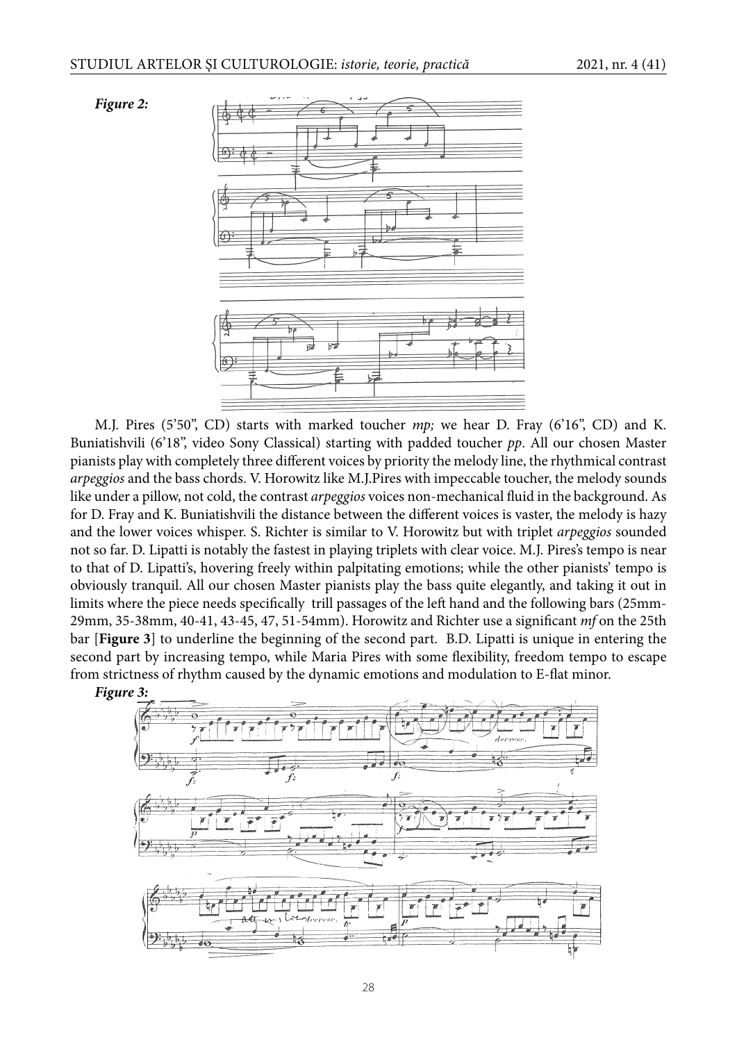



M.J. Pires (5'50", CD) starts with marked toucher *mp;* we hear D. Fray (6'16", CD) and K. Buniatishvili (6'18", video Sony Classical) starting with padded toucher *pp*. All our chosen Master pianists play with completely three different voices by priority the melody line, the rhythmical contrast *arpeggios* and the bass chords. V. Horowitz like M.J.Pires with impeccable toucher, the melody sounds like under a pillow, not cold, the contrast *arpeggios* voices non-mechanical fluid in the background. As for D. Fray and K. Buniatishvili the distance between the different voices is vaster, the melody is hazy and the lower voices whisper. S. Richter is similar to V. Horowitz but with triplet *arpeggios* sounded not so far. D. Lipatti is notably the fastest in playing triplets with clear voice. M.J. Pires's tempo is near to that of D. Lipatti's, hovering freely within palpitating emotions; while the other pianists' tempo is obviously tranquil. All our chosen Master pianists play the bass quite elegantly, and taking it out in limits where the piece needs specifically trill passages of the left hand and the following bars (25mm-29mm, 35-38mm, 40-41, 43-45, 47, 51-54mm). Horowitz and Richter use a significant *mf* on the 25th bar [**Figure 3**] to underline the beginning of the second part. B.D. Lipatti is unique in entering the second part by increasing tempo, while Maria Pires with some flexibility, freedom tempo to escape from strictness of rhythm caused by the dynamic emotions and modulation to E-flat minor.

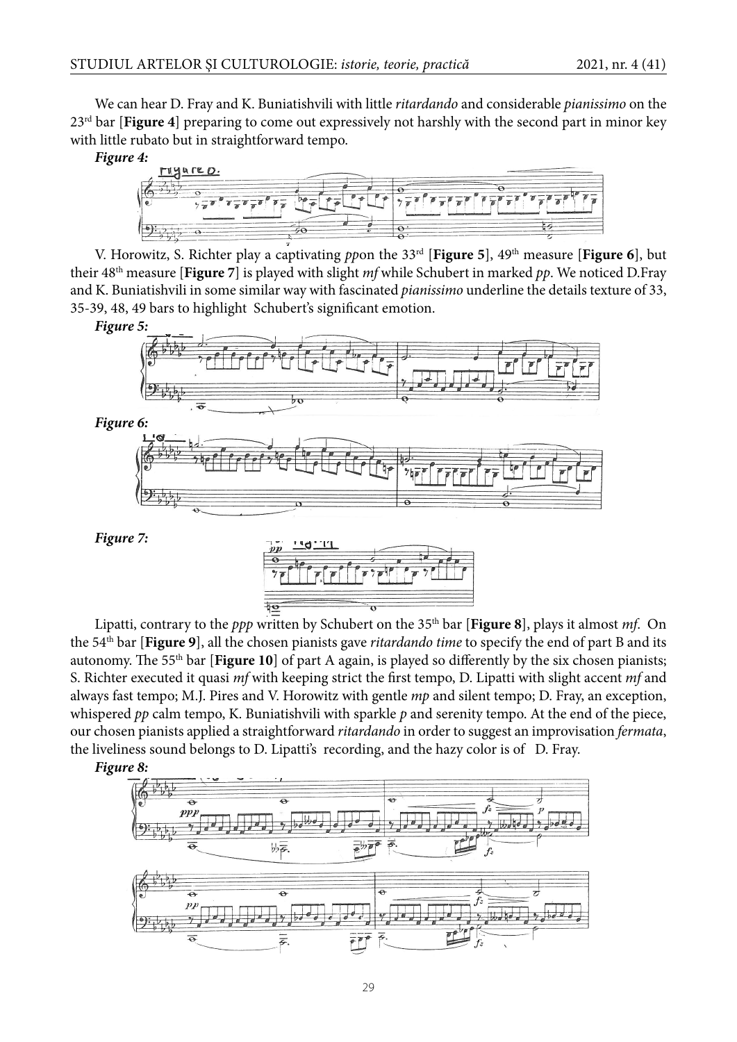We can hear D. Fray and K. Buniatishvili with little *ritardando* and considerable *pianissimo* on the 23rd bar [**Figure 4**] preparing to come out expressively not harshly with the second part in minor key with little rubato but in straightforward tempo.

**Figure 4:**



V. Horowitz, S. Richter play a captivating *pp*on the 33rd [**Figure 5**], 49th measure [**Figure 6**], but their 48th measure [**Figure 7**] is played with slight *mf* while Schubert in marked *pp*. We noticed D.Fray and K. Buniatishvili in some similar way with fascinated *pianissimo* underline the details texture of 33, 35-39, 48, 49 bars to highlight Schubert's significant emotion.





Lipatti, contrary to the *ppp* written by Schubert on the 35th bar [**Figure 8**], plays it almost *mf*. On the 54th bar [**Figure 9**], all the chosen pianists gave *ritardando time* to specify the end of part B and its autonomy. The 55<sup>th</sup> bar [**Figure 10**] of part A again, is played so differently by the six chosen pianists; S. Richter executed it quasi *mf* with keeping strict the first tempo, D. Lipatti with slight accent *mf* and always fast tempo; M.J. Pires and V. Horowitz with gentle *mp* and silent tempo; D. Fray, an exception, whispered *pp* calm tempo, K. Buniatishvili with sparkle *p* and serenity tempo. At the end of the piece, our chosen pianists applied a straightforward *ritardando* in order to suggest an improvisation *fermata*, the liveliness sound belongs to D. Lipatti's recording, and the hazy color is of D. Fray.



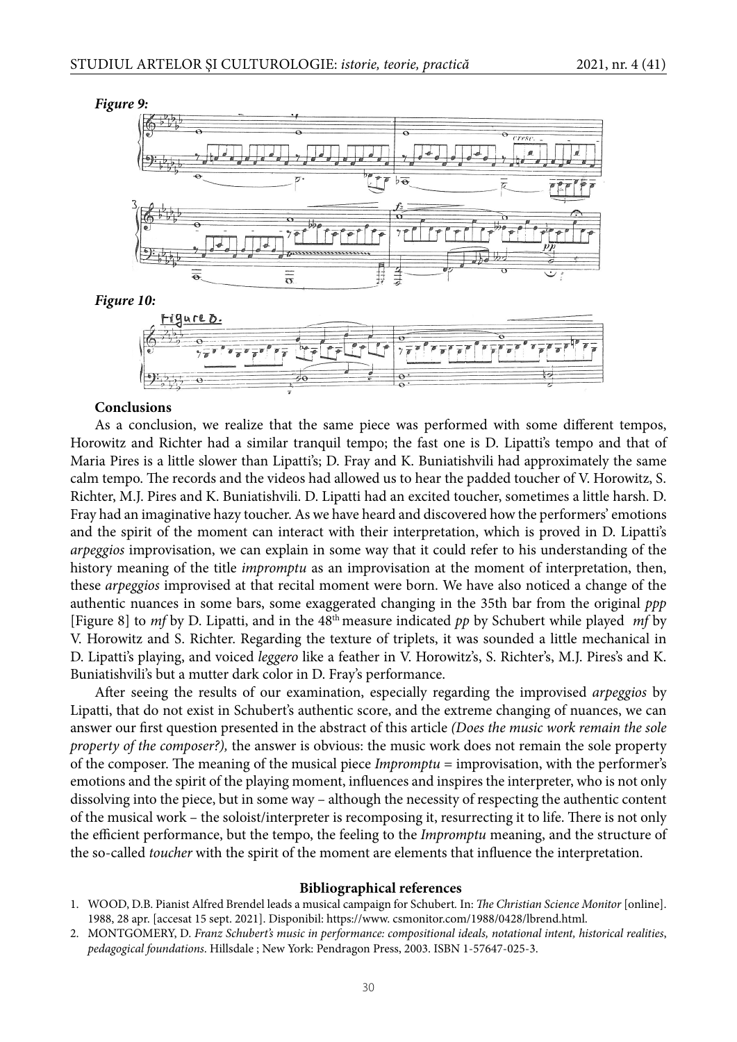

### **Conclusions**

As a conclusion, we realize that the same piece was performed with some different tempos, Horowitz and Richter had a similar tranquil tempo; the fast one is D. Lipatti's tempo and that of Maria Pires is a little slower than Lipatti's; D. Fray and K. Buniatishvili had approximately the same calm tempo. The records and the videos had allowed us to hear the padded toucher of V. Horowitz, S. Richter, M.J. Pires and K. Buniatishvili. D. Lipatti had an excited toucher, sometimes a little harsh. D. Fray had an imaginative hazy toucher. As we have heard and discovered how the performers' emotions and the spirit of the moment can interact with their interpretation, which is proved in D. Lipatti's *arpeggios* improvisation, we can explain in some way that it could refer to his understanding of the history meaning of the title *impromptu* as an improvisation at the moment of interpretation, then, these *arpeggios* improvised at that recital moment were born. We have also noticed a change of the authentic nuances in some bars, some exaggerated changing in the 35th bar from the original *ppp* [Figure 8] to *mf* by D. Lipatti, and in the 48th measure indicated *pp* by Schubert while played *mf* by V. Horowitz and S. Richter. Regarding the texture of triplets, it was sounded a little mechanical in D. Lipatti's playing, and voiced *leggero* like a feather in V. Horowitz's, S. Richter's, M.J. Pires's and K. Buniatishvili's but a mutter dark color in D. Fray's performance.

After seeing the results of our examination, especially regarding the improvised *arpeggios* by Lipatti, that do not exist in Schubert's authentic score, and the extreme changing of nuances, we can answer our first question presented in the abstract of this article *(Does the music work remain the sole property of the composer?),* the answer is obvious: the music work does not remain the sole property of the composer. The meaning of the musical piece *Impromptu* = improvisation, with the performer's emotions and the spirit of the playing moment, influences and inspires the interpreter, who is not only dissolving into the piece, but in some way – although the necessity of respecting the authentic content of the musical work – the soloist/interpreter is recomposing it, resurrecting it to life. There is not only the efficient performance, but the tempo, the feeling to the *Impromptu* meaning, and the structure of the so-called *toucher* with the spirit of the moment are elements that influence the interpretation.

#### **Bibliographical references**

- 1. WOOD, D.B. Pianist Alfred Brendel leads a musical campaign for Schubert. In: *The Christian Science Monitor* [online]. 1988, 28 apr. [accesat 15 sept. 2021]. Disponibil: https://www. csmonitor.com/1988/0428/lbrend.html.
- 2. MONTGOMERY, D. *Franz Schubert's music in performance: compositional ideals, notational intent, historical realities*, *pedagogical foundations*. Hillsdale ; New York: Pendragon Press, 2003. ISBN 1-57647-025-3.